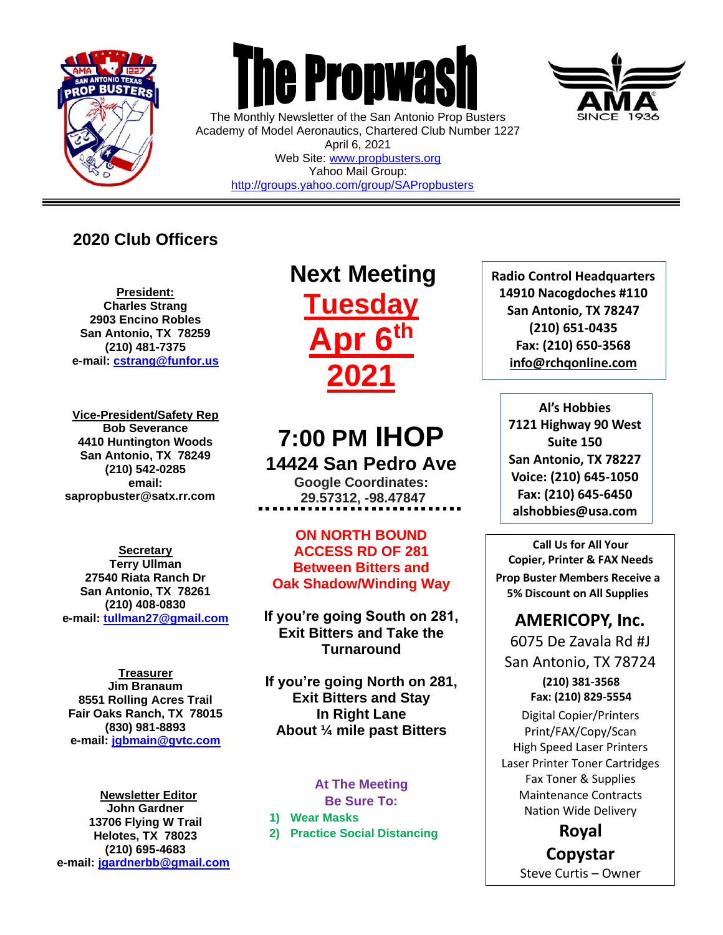

 $\overline{a}$ 



The Monthly Newsletter of the San Antonio Prop Busters Academy of Model Aeronautics, Chartered Club Number 1227 April 6, 2021 Web Site: [www.propbusters.org](http://www.propbusters.org/) Yahoo Mail Group: <http://groups.yahoo.com/group/SAPropbusters>

### **2020 Club Officers**

**President: Charles Strang 2903 Encino Robles San Antonio, TX 78259 (210) 481-7375 e-mail: [cstrang@funfor.us](mailto:cstrang@funfor.us)**

**Vice-President/Safety Rep Bob Severance 4410 Huntington Woods San Antonio, TX 78249 (210) 542-0285 email: sapropbuster@satx.rr.com**

**Secretary Terry Ullman 27540 Riata Ranch Dr San Antonio, TX 78261 (210) 408-0830 e-mail: [tullman27@gmail.com](mailto:tullman27@gmail.com)**

**Treasurer Jim Branaum 8551 Rolling Acres Trail Fair Oaks Ranch, TX 78015 (830) 981-8893 e-mail: [jgbmain@gvtc.com](mailto:jgbmain@gvtc.com)**

**Newsletter Editor John Gardner 13706 Flying W Trail Helotes, TX 78023 (210) 695-4683 e-mail: [jgardnerbb@gmail.com](mailto:jgardnerbb@gmail.com)**

# **Next Meeting Tuesday Apr 6th 2021**

## **7:00 PM IHOP 14424 San Pedro Ave**

**Google Coordinates: 29.57312, -98.47847**

**ON NORTH BOUND ACCESS RD OF 281 Between Bitters and Oak Shadow/Winding Way**

**If you're going South on 281, Exit Bitters and Take the Turnaround**

**If you're going North on 281, Exit Bitters and Stay In Right Lane About ¼ mile past Bitters**

#### **At The Meeting Be Sure To:**

**1) Wear Masks**

**2) Practice Social Distancing**



**Al's Hobbies 7121 Highway 90 West Suite 150 San Antonio, TX 78227 Voice: (210) 645-1050 Fax: (210) 645-6450 alshobbies@usa.com**

**Call Us for All Your Copier, Printer & FAX Needs Prop Buster Members Receive a 5% Discount on All Supplies**

### **AMERICOPY, Inc.**

6075 De Zavala Rd #J San Antonio, TX 78724 **(210) 381-3568 Fax: (210) 829-5554** Digital Copier/Printers Print/FAX/Copy/Scan High Speed Laser Printers Laser Printer Toner Cartridges

Fax Toner & Supplies Maintenance Contracts Nation Wide Delivery

**Royal Copystar**

Steve Curtis – Owner

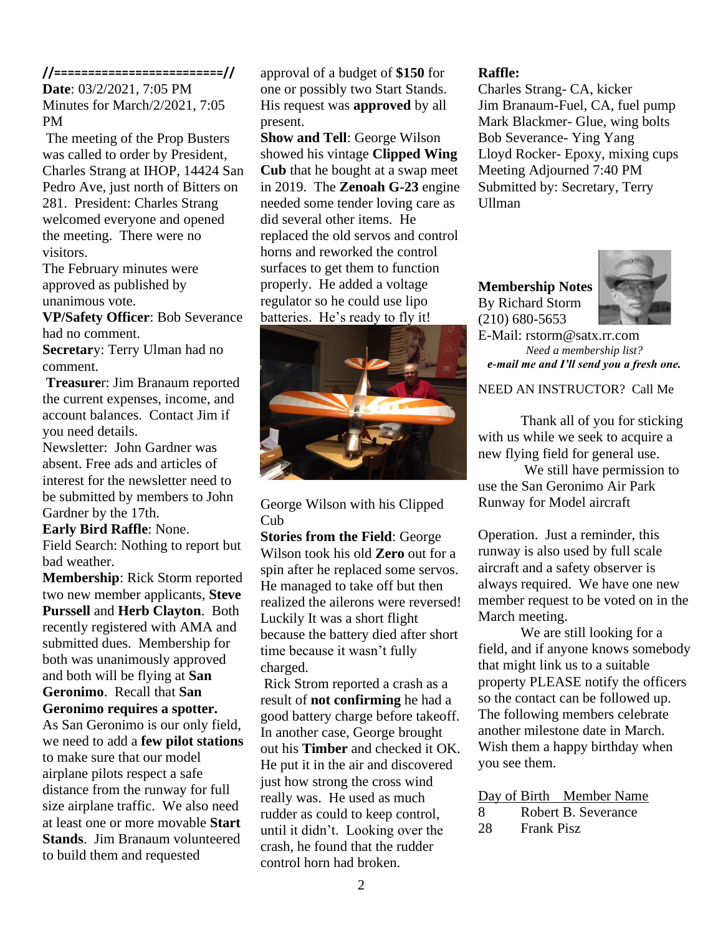#### **//=========================//**

**Date**: 03/2/2021, 7:05 PM Minutes for March/2/2021, 7:05 PM

The meeting of the Prop Busters was called to order by President, Charles Strang at IHOP, 14424 San Pedro Ave, just north of Bitters on 281. President: Charles Strang welcomed everyone and opened the meeting. There were no visitors.

The February minutes were approved as published by unanimous vote.

**VP/Safety Officer**: Bob Severance had no comment.

**Secretar**y: Terry Ulman had no comment.

**Treasure**r: Jim Branaum reported the current expenses, income, and account balances. Contact Jim if you need details.

Newsletter: John Gardner was absent. Free ads and articles of interest for the newsletter need to be submitted by members to John Gardner by the 17th.

**Early Bird Raffle**: None.

Field Search: Nothing to report but bad weather.

**Membership**: Rick Storm reported two new member applicants, **Steve Purssell** and **Herb Clayton**. Both recently registered with AMA and submitted dues. Membership for both was unanimously approved and both will be flying at **San Geronimo**. Recall that **San Geronimo requires a spotter.** As San Geronimo is our only field, we need to add a **few pilot stations** to make sure that our model airplane pilots respect a safe distance from the runway for full size airplane traffic. We also need at least one or more movable **Start Stands**. Jim Branaum volunteered to build them and requested

approval of a budget of **\$150** for one or possibly two Start Stands. His request was **approved** by all present.

**Show and Tell**: George Wilson showed his vintage **Clipped Wing Cub** that he bought at a swap meet in 2019. The **Zenoah G-23** engine needed some tender loving care as did several other items. He replaced the old servos and control horns and reworked the control surfaces to get them to function properly. He added a voltage regulator so he could use lipo batteries. He's ready to fly it!



George Wilson with his Clipped Cub

**Stories from the Field**: George Wilson took his old **Zero** out for a spin after he replaced some servos. He managed to take off but then realized the ailerons were reversed! Luckily It was a short flight because the battery died after short time because it wasn't fully charged.

Rick Strom reported a crash as a result of **not confirming** he had a good battery charge before takeoff. In another case, George brought out his **Timber** and checked it OK. He put it in the air and discovered just how strong the cross wind really was. He used as much rudder as could to keep control, until it didn't. Looking over the crash, he found that the rudder control horn had broken.

#### **Raffle:**

Charles Strang- CA, kicker Jim Branaum-Fuel, CA, fuel pump Mark Blackmer- Glue, wing bolts Bob Severance- Ying Yang Lloyd Rocker- Epoxy, mixing cups Meeting Adjourned 7:40 PM Submitted by: Secretary, Terry Ullman

**Membership Notes** By Richard Storm (210) 680-5653



E-Mail: rstorm@satx.rr.com *Need a membership list? e-mail me and I'll send you a fresh one.*

### NEED AN INSTRUCTOR? Call Me

Thank all of you for sticking with us while we seek to acquire a new flying field for general use.

We still have permission to use the San Geronimo Air Park Runway for Model aircraft

Operation. Just a reminder, this runway is also used by full scale aircraft and a safety observer is always required. We have one new member request to be voted on in the March meeting.

We are still looking for a field, and if anyone knows somebody that might link us to a suitable property PLEASE notify the officers so the contact can be followed up. The following members celebrate another milestone date in March. Wish them a happy birthday when you see them.

|   |  | Day of Birth Member Name |
|---|--|--------------------------|
| 8 |  | Robert B. Severance      |

28 Frank Pisz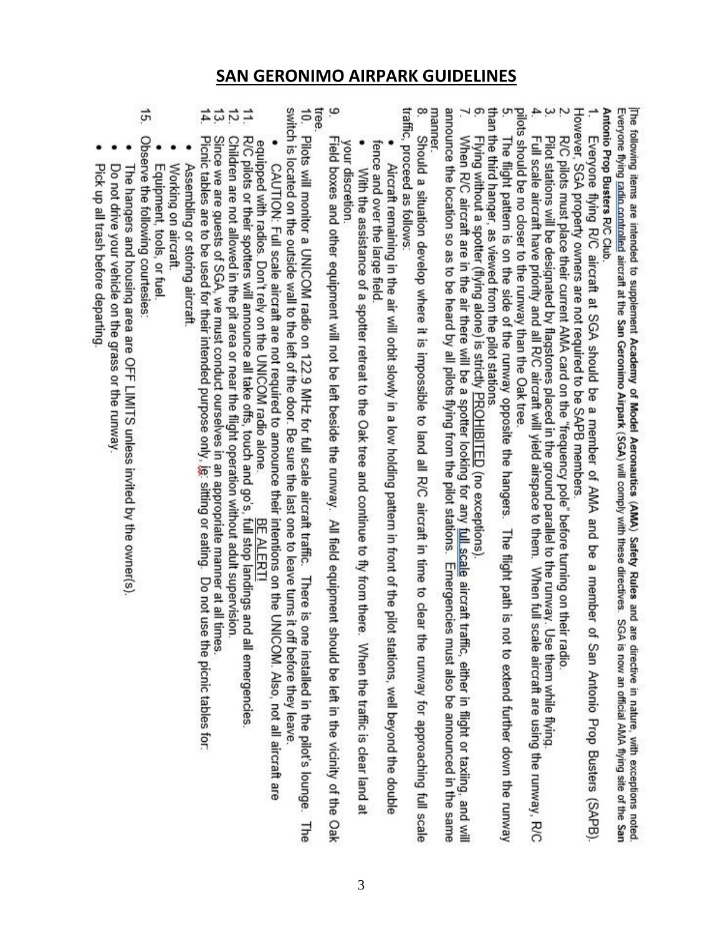### **SAN GERONIMO AIRPARK GUIDELINES**

| 14.<br>5<br>Picnic tables are to be used for their intended purpose only, ig: sitting or eating. Do not use the picnic tables for:<br>Since we are guests of SGA, we must conduct ourselves in an appropriate manner at all times                                                                                        |
|--------------------------------------------------------------------------------------------------------------------------------------------------------------------------------------------------------------------------------------------------------------------------------------------------------------------------|
| 12.<br>Children are not allowed in the pit area or near the flight operation without adult supervision.                                                                                                                                                                                                                  |
| R/C pilots or their spotters will announce all take offs, touch and go's, full stop landings and all emergencies.<br>equipped with radios. Don't rely on the UNICOM radio alone<br>BE ALERT                                                                                                                              |
| CAUTION: Full scale aircraft are not required to announce their intentions on the UNICOM. Also, not all aircraft are                                                                                                                                                                                                     |
| assituted on the octainde wall to the left of the door. Be acre the last one to leave turns it<br>off before they leave.                                                                                                                                                                                                 |
| 10. There is the fight of DNICON redio on 127.9 STF to 101 of the second preservation of the special little to the second to the content that the second second second second second second second second second second second<br>one installed in the pilot's lounge. The                                               |
| tree.<br>9<br>Field boxes and other equipment will not be left beside the runway. All field equipment<br>should be left in the vicinity of the Oak                                                                                                                                                                       |
| <b>Vour discretion</b>                                                                                                                                                                                                                                                                                                   |
| With the assistance of a spotter retreat to the Oak tree and continue to fly from the and continue is clear land at                                                                                                                                                                                                      |
| tence and over the large tield<br>Alicutat remaining in the air while the bigges were in the plane to the plane in the plane s well beyond the double-                                                                                                                                                                   |
| traffic, proceed as tollows                                                                                                                                                                                                                                                                                              |
| ∞<br>Should a situation develop of the structure of land all RC all RC and the to clear the to clear<br>the runway for approaching full scale                                                                                                                                                                            |
| manner                                                                                                                                                                                                                                                                                                                   |
| announce the location so as to be heard by all pilots flying from the pilot stations. Emergencies must also be announced in the same                                                                                                                                                                                     |
| When R/C aircraft are in the air there will be a spotter looking for any full scale aircraft traffic, either in flight or taxing, and will<br>Flying without a spotter (flying alone) is strictly PROHIBITED (no exceptions).                                                                                            |
| than the third hanger, as viewed from the pilot stations<br>6. Flying without a spotter (flying alone) is strictly PF                                                                                                                                                                                                    |
| The flight pattern is on the side of the runway opposite the hangers. The flight path is<br>not to extend further down the runway                                                                                                                                                                                        |
| pilots should be no closer to the runway than the Oak tree                                                                                                                                                                                                                                                               |
| Full scale aircraft have priority and all R/C aircraft will yield airspace to them. When full scale aircraft are using the runway, R/C                                                                                                                                                                                   |
| $\sim$ $\sim$<br>Pilot stations will be designated by flagstones placed in the ground parallel to the runway.<br>Use them while flying.                                                                                                                                                                                  |
| R/C pilots must place their current AMA card on the "frequency pole" before turning on their radio.                                                                                                                                                                                                                      |
| However, SGA property owners are not required to be SAPB members                                                                                                                                                                                                                                                         |
| Everyone flying R/C aircraft at SGA should be a member of AMA and be a member<br>of San Antonio Prop Busters (SAPB).                                                                                                                                                                                                     |
| Antonio Prop Busters R/C Club                                                                                                                                                                                                                                                                                            |
| The following items are intended to supplement Academy of Model Aeronautics (AMA) Safety Rules and are directive in nature, with exceptions noted<br>Everyone tiving radio controlled aircraft at the San Geronimo Airpark (SGA) will comply with these directives.<br>SGA is now an official AMA flying site of the San |
|                                                                                                                                                                                                                                                                                                                          |

- ٠ Working on aircraft. Assembling or storing aircraft.
- Equipment, tools, or fuel.

 $15$ Observe the following courtesies:

- ٠ The hangers and housing area are OFF LIMITS unless invited by the owner(s).<br>Do not drive your vehicle on the grass or the runway.
- 
- . Pick up all trash before departing.